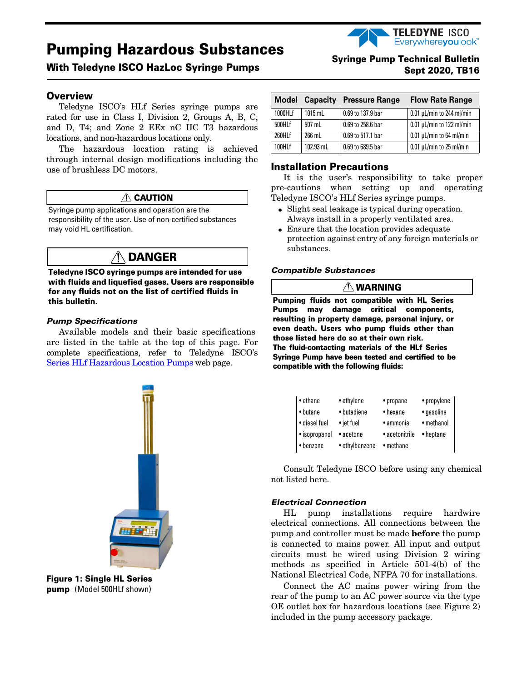# **Pumping Hazardous Substances**

# **With Teledyne** ISCO **HazLoc Syringe Pumps**

#### **Overview**

Teledyne ISCO's HLf Series syringe pumps are rated for use in Class I, Division 2, Groups A, B, C, and D, T4; and Zone 2 EEx nC IIC T3 hazardous locations, and non-hazardous locations only.

The hazardous location rating is achieved through internal design modifications including the use of brushless DC motors.

# **CAUTION**

Syringe pump applications and operation are the responsibility of the user. Use of non-certified substances may void HL certification.

# **DANGER**

**Teledyne I**SCO **syringe pumps are intended for use with fluids and liquefied gases. Users are responsible for any fluids not on the list of certified fluids in this bulletin.**

#### *Pump Specifications*

Available models and their basic specifications are listed in the table at the top of this page. For complete specifications, refer to Teledyne ISCO's Series HLf [Hazardous Location Pumps](http://www.isco.com/products/products2.asp?PL=10530&image=SyrPumpIntro65DM.jpg) web page.



**Figure 1: Single HL Series pump** (Model 500HLf shown)

# **[Syringe Pump Technical Bulletin](http://www.isco.com)** Sept 2020, **TB16**

**TELEDYNE ISCO** Everywhereyoulook

| <b>Model</b> | Capacity  | <b>Pressure Range</b> | <b>Flow Rate Range</b>         |
|--------------|-----------|-----------------------|--------------------------------|
| 1000HLf      | $1015$ mL | 0.69 to 137.9 bar     | $0.01 \mu L/min$ to 244 ml/min |
| 500HLf       | 507 mL    | 0.69 to 258.6 bar     | $0.01 \mu L/min$ to 122 ml/min |
| 260HLf       | 266 mL    | 0.69 to 517.1 bar     | $0.01 \mu L/min$ to 64 ml/min  |
| 100HLf       | 102.93 mL | 0.69 to 689.5 bar     | $0.01 \mu L/min$ to 25 ml/min  |

#### **Installation Precautions**

It is the user's responsibility to take proper pre-cautions when setting up and operating Teledyne ISCO's HLf Series syringe pumps.

- Slight seal leakage is typical during operation. Always install in a properly ventilated area.
- Ensure that the location provides adequate protection against entry of any foreign materials or substances.

#### *Compatible Substances*

#### **WARNING**

**Pumping fluids not compatible with HL Series Pumps may damage critical components, resulting in property damage, personal injury, or even death. Users who pump fluids other than those listed here do so at their own risk. The fluid-contacting materials of the HL**f **Series Syringe Pump have been tested and certified to be compatible with the following fluids:**

| $\bullet$ ethane | • ethylene     | • propane      | • propylene |
|------------------|----------------|----------------|-------------|
| • butane         | • butadiene    | • hexane       | • gasoline  |
| · diesel fuel    | • jet fuel     | • ammonia      | • methanol  |
| · isopropanol    | • acetone      | • acetonitrile | • heptane   |
| • benzene        | • ethylbenzene | • methane      |             |

Consult Teledyne ISCO before using any chemical not listed here.

#### *Electrical Connection*

HL pump installations require hardwire electrical connections. All connections between the pump and controller must be made **before** the pump is connected to mains power. All input and output circuits must be wired using Division 2 wiring methods as specified in Article 501-4(b) of the National Electrical Code, NFPA 70 for installations.

Connect the AC mains power wiring from the rear of the pump to an AC power source via the type OE outlet box for hazardous locations (see Figure [2\)](#page-1-0) included in the pump accessory package.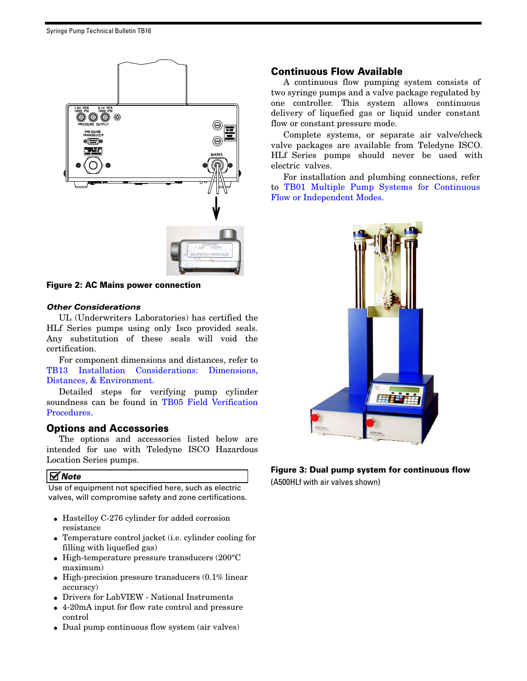

**Figure 2: AC Mains power connection** 

#### <span id="page-1-0"></span>*Other Considerations*

UL (Underwriters Laboratories) has certified the HLf Series pumps using only Isco provided seals. Any substitution of these seals will void the certification.

For component dimensions and distances, refer to [TB13 Installation Considerations: Dimensions,](http://www.isco.com/WebProductFiles/Applications/105/Technical_Bulletins/TB13_Dimensions_Connections.pdf) [Distances, & Environment.](http://www.isco.com/WebProductFiles/Applications/105/Technical_Bulletins/TB13_Dimensions_Connections.pdf)

Detailed steps for verifying pump cylinder soundness can be found in [TB05 Field Verification](http://www.isco.com/WebProductFiles/Applications/105/Technical_Bulletins/TB05_Field_Verification.pdf) [Procedures](http://www.isco.com/WebProductFiles/Applications/105/Technical_Bulletins/TB05_Field_Verification.pdf).

# **Options and Accessories**

The options and accessories listed below are intended for use with Teledyne ISCO Hazardous Location Series pumps.

### *Note*

Use of equipment not specified here, such as electric valves, will compromise safety and zone certifications.

- Hastelloy C-276 cylinder for added corrosion resistance
- Temperature control jacket (i.e. cylinder cooling for filling with liquefied gas)
- High-temperature pressure transducers (200°C maximum)
- High-precision pressure transducers  $(0.1\%$  linear accuracy)
- Drivers for LabVIEW National Instruments
- 4-20mA input for flow rate control and pressure control
- Dual pump continuous flow system (air valves)

# **Continuous Flow Available**

A continuous flow pumping system consists of two syringe pumps and a valve package regulated by one controller. This system allows continuous delivery of liquefied gas or liquid under constant flow or constant pressure mode.

Complete systems, or separate air valve/check valve packages are available from Teledyne ISCO. HLf Series pumps should never be used with electric valves.

For installation and plumbing connections, refer to [TB01 Multiple Pump Systems for Continuous](http://www.isco.com/WebProductFiles/Applications/105/Technical_Bulletins/TB01_Dual%20Pump%20Systems.pdf) [Flow or Independent Modes.](http://www.isco.com/WebProductFiles/Applications/105/Technical_Bulletins/TB01_Dual%20Pump%20Systems.pdf)



# **Figure 3: Dual pump system for continuous flow**

(A500HLf with air valves shown)